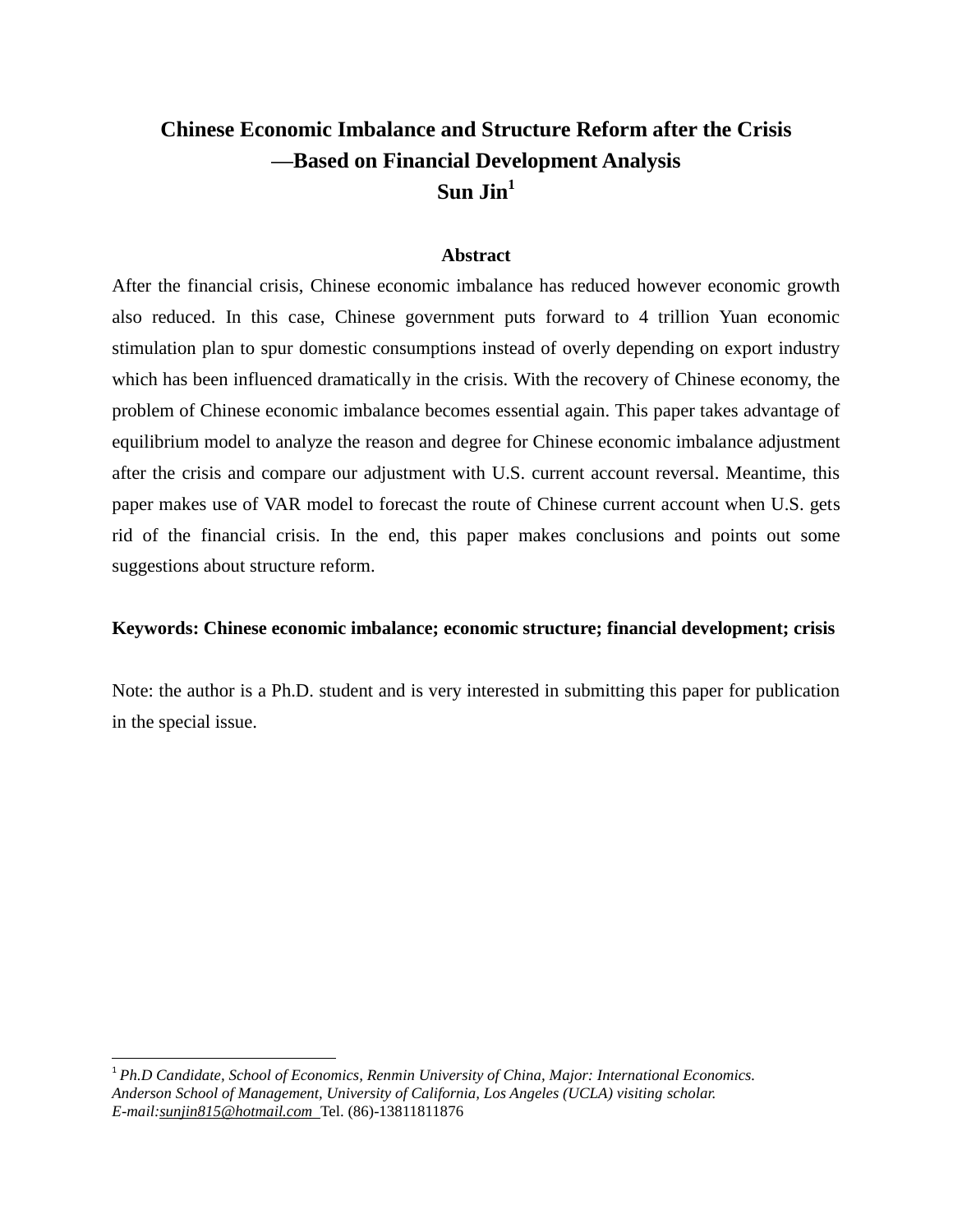# **Chinese Economic Imbalance and Structure Reform after the Crisis —Based on Financial Development Analysis Sun Jin<sup>1</sup>**

### **Abstract**

After the financial crisis, Chinese economic imbalance has reduced however economic growth also reduced. In this case, Chinese government puts forward to 4 trillion Yuan economic stimulation plan to spur domestic consumptions instead of overly depending on export industry which has been influenced dramatically in the crisis. With the recovery of Chinese economy, the problem of Chinese economic imbalance becomes essential again. This paper takes advantage of equilibrium model to analyze the reason and degree for Chinese economic imbalance adjustment after the crisis and compare our adjustment with U.S. current account reversal. Meantime, this paper makes use of VAR model to forecast the route of Chinese current account when U.S. gets rid of the financial crisis. In the end, this paper makes conclusions and points out some suggestions about structure reform.

### **Keywords: Chinese economic imbalance; economic structure; financial development; crisis**

Note: the author is a Ph.D. student and is very interested in submitting this paper for publication in the special issue.

<sup>1</sup> *Ph.D Candidate, School of Economics, Renmin University of China, Major: International Economics. Anderson School of Management, University of California, Los Angeles (UCLA) visiting scholar. E-mail:sunjin815@hotmail.com* Tel. (86)-13811811876

 $\overline{a}$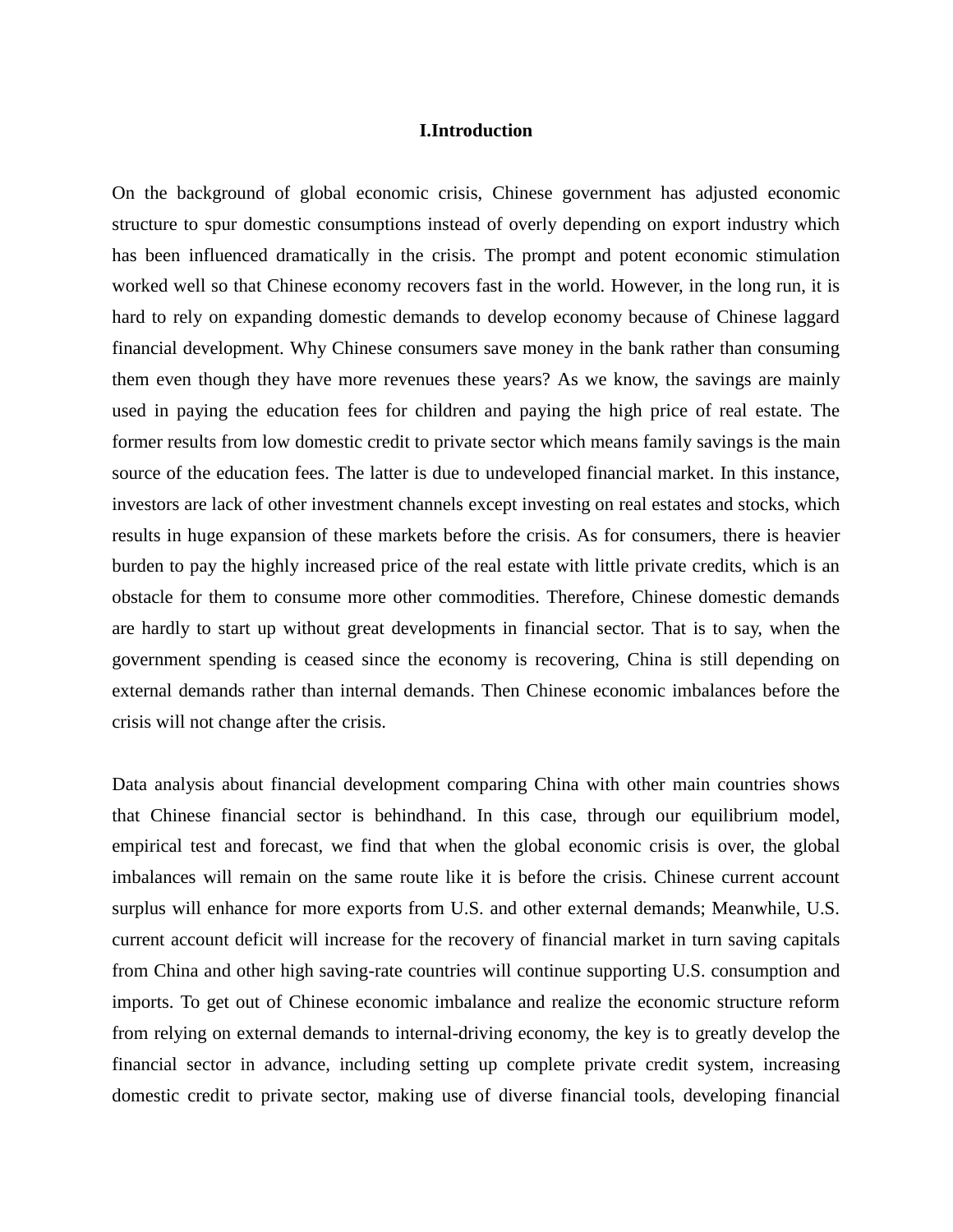### **I.Introduction**

On the background of global economic crisis, Chinese government has adjusted economic structure to spur domestic consumptions instead of overly depending on export industry which has been influenced dramatically in the crisis. The prompt and potent economic stimulation worked well so that Chinese economy recovers fast in the world. However, in the long run, it is hard to rely on expanding domestic demands to develop economy because of Chinese laggard financial development. Why Chinese consumers save money in the bank rather than consuming them even though they have more revenues these years? As we know, the savings are mainly used in paying the education fees for children and paying the high price of real estate. The former results from low domestic credit to private sector which means family savings is the main source of the education fees. The latter is due to undeveloped financial market. In this instance, investors are lack of other investment channels except investing on real estates and stocks, which results in huge expansion of these markets before the crisis. As for consumers, there is heavier burden to pay the highly increased price of the real estate with little private credits, which is an obstacle for them to consume more other commodities. Therefore, Chinese domestic demands are hardly to start up without great developments in financial sector. That is to say, when the government spending is ceased since the economy is recovering, China is still depending on external demands rather than internal demands. Then Chinese economic imbalances before the crisis will not change after the crisis.

Data analysis about financial development comparing China with other main countries shows that Chinese financial sector is behindhand. In this case, through our equilibrium model, empirical test and forecast, we find that when the global economic crisis is over, the global imbalances will remain on the same route like it is before the crisis. Chinese current account surplus will enhance for more exports from U.S. and other external demands; Meanwhile, U.S. current account deficit will increase for the recovery of financial market in turn saving capitals from China and other high saving-rate countries will continue supporting U.S. consumption and imports. To get out of Chinese economic imbalance and realize the economic structure reform from relying on external demands to internal-driving economy, the key is to greatly develop the financial sector in advance, including setting up complete private credit system, increasing domestic credit to private sector, making use of diverse financial tools, developing financial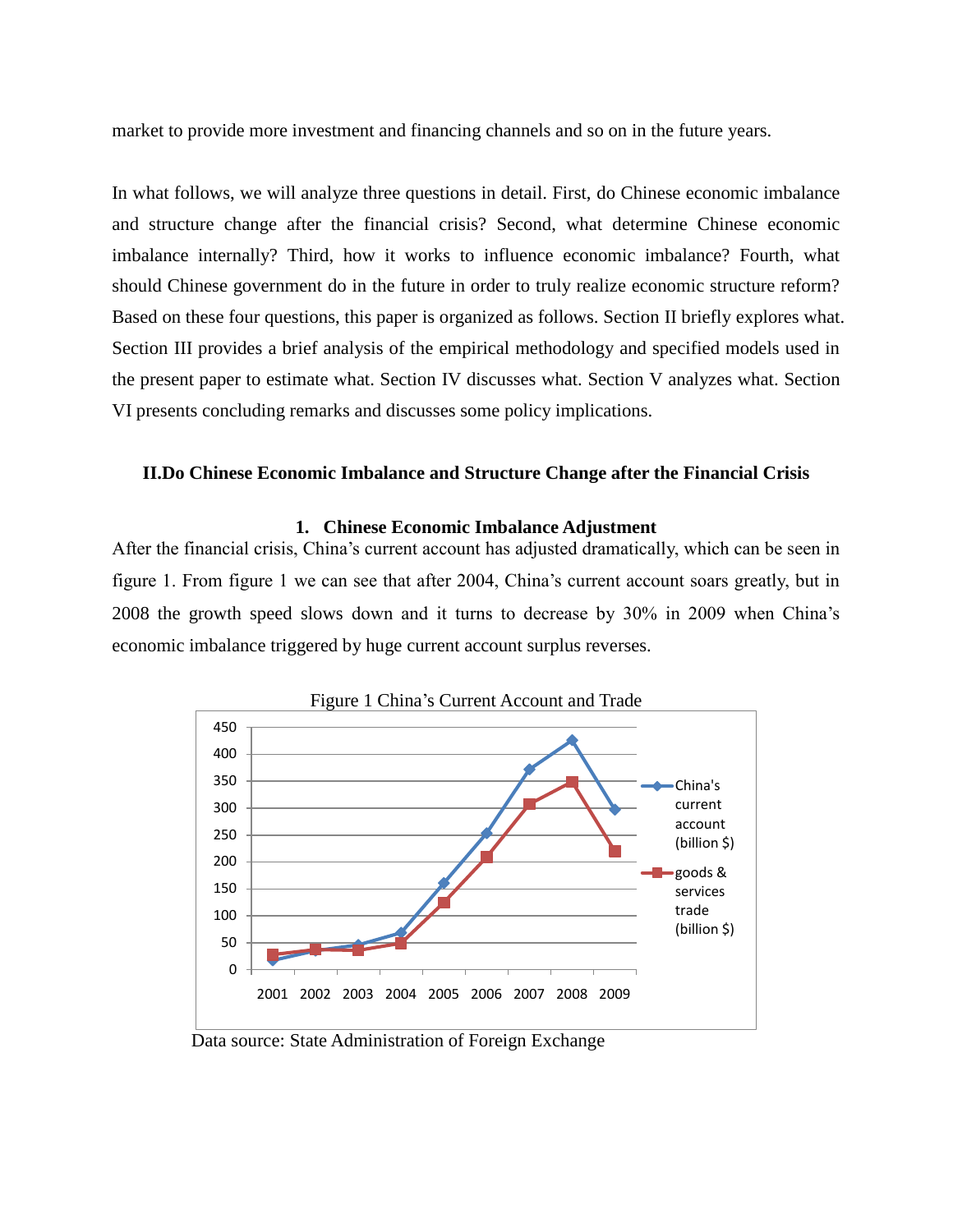market to provide more investment and financing channels and so on in the future years.

In what follows, we will analyze three questions in detail. First, do Chinese economic imbalance and structure change after the financial crisis? Second, what determine Chinese economic imbalance internally? Third, how it works to influence economic imbalance? Fourth, what should Chinese government do in the future in order to truly realize economic structure reform? Based on these four questions, this paper is organized as follows. Section II briefly explores what. Section III provides a brief analysis of the empirical methodology and specified models used in the present paper to estimate what. Section IV discusses what. Section V analyzes what. Section VI presents concluding remarks and discusses some policy implications.

### **II.Do Chinese Economic Imbalance and Structure Change after the Financial Crisis**

### **1. Chinese Economic Imbalance Adjustment**

After the financial crisis, China"s current account has adjusted dramatically, which can be seen in figure 1. From figure 1 we can see that after 2004, China"s current account soars greatly, but in 2008 the growth speed slows down and it turns to decrease by 30% in 2009 when China"s economic imbalance triggered by huge current account surplus reverses.



Data source: State Administration of Foreign Exchange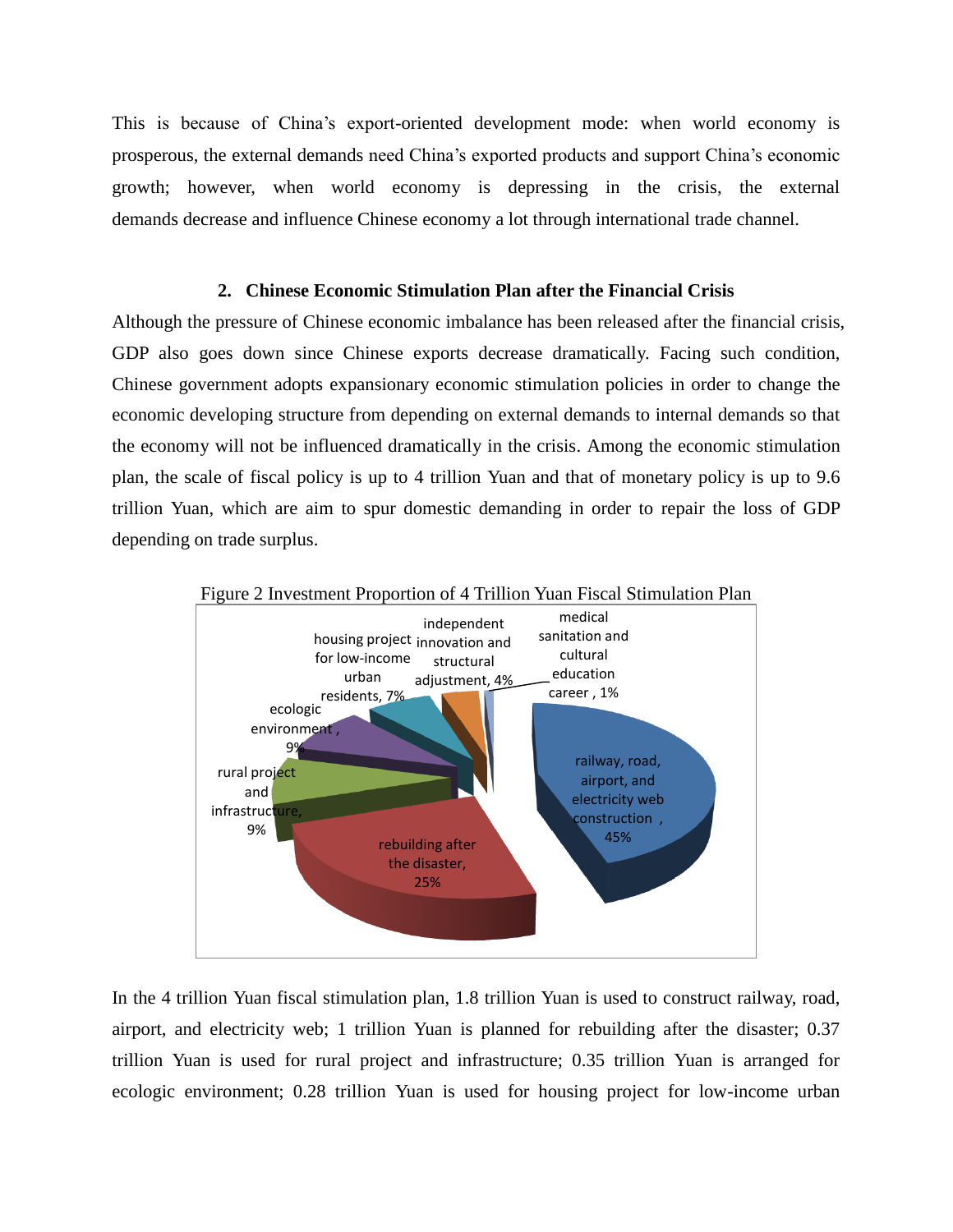This is because of China"s export-oriented development mode: when world economy is prosperous, the external demands need China"s exported products and support China"s economic growth; however, when world economy is depressing in the crisis, the external demands decrease and influence Chinese economy a lot through international trade channel.

### **2. Chinese Economic Stimulation Plan after the Financial Crisis**

Although the pressure of Chinese economic imbalance has been released after the financial crisis, GDP also goes down since Chinese exports decrease dramatically. Facing such condition, Chinese government adopts expansionary economic stimulation policies in order to change the economic developing structure from depending on external demands to internal demands so that the economy will not be influenced dramatically in the crisis. Among the economic stimulation plan, the scale of fiscal policy is up to 4 trillion Yuan and that of monetary policy is up to 9.6 trillion Yuan, which are aim to spur domestic demanding in order to repair the loss of GDP depending on trade surplus.





In the 4 trillion Yuan fiscal stimulation plan, 1.8 trillion Yuan is used to construct railway, road, airport, and electricity web; 1 trillion Yuan is planned for rebuilding after the disaster; 0.37 trillion Yuan is used for rural project and infrastructure; 0.35 trillion Yuan is arranged for ecologic environment; 0.28 trillion Yuan is used for housing project for low-income urban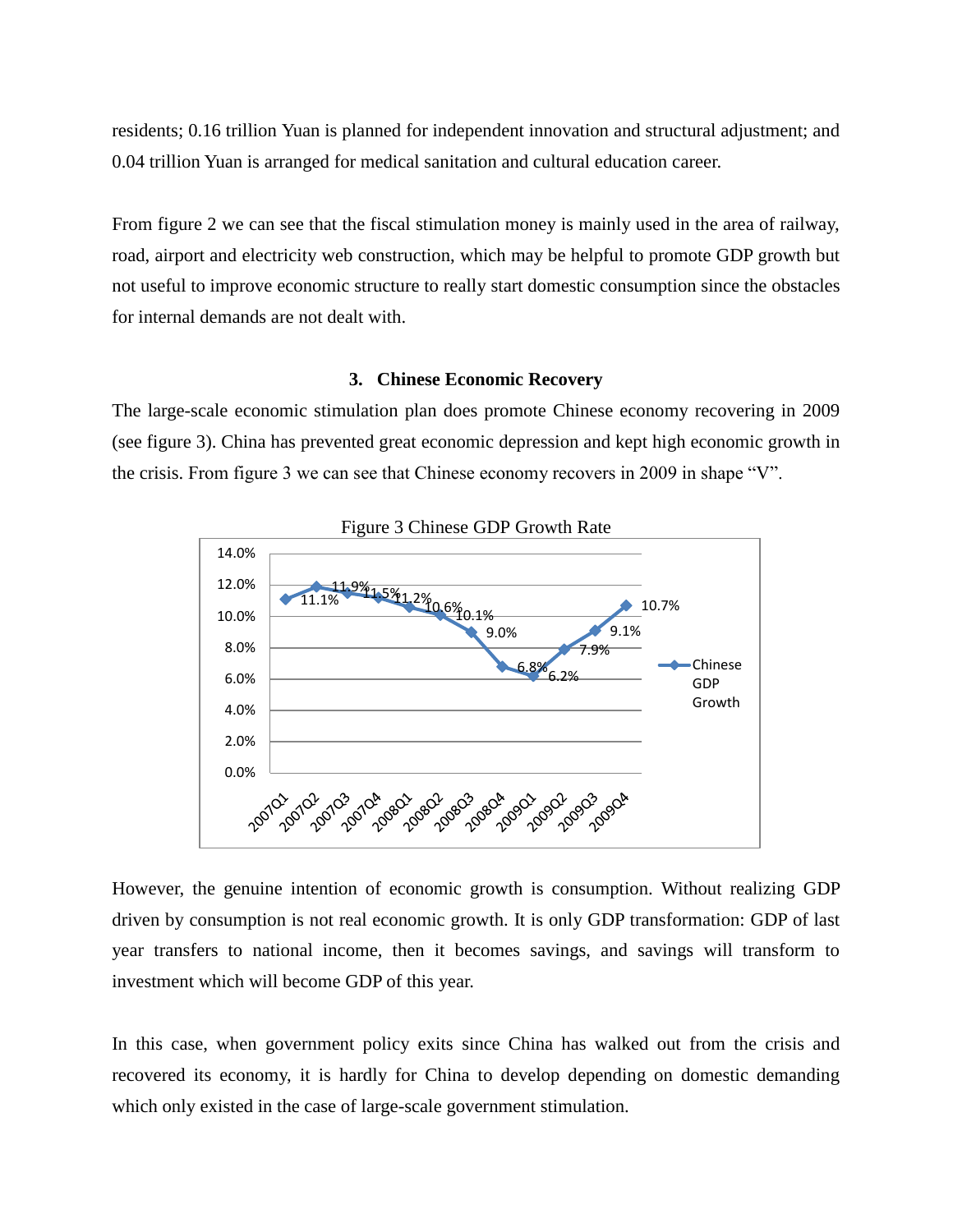residents; 0.16 trillion Yuan is planned for independent innovation and structural adjustment; and 0.04 trillion Yuan is arranged for medical sanitation and cultural education career.

From figure 2 we can see that the fiscal stimulation money is mainly used in the area of railway, road, airport and electricity web construction, which may be helpful to promote GDP growth but not useful to improve economic structure to really start domestic consumption since the obstacles for internal demands are not dealt with.

### **3. Chinese Economic Recovery**

The large-scale economic stimulation plan does promote Chinese economy recovering in 2009 (see figure 3). China has prevented great economic depression and kept high economic growth in the crisis. From figure 3 we can see that Chinese economy recovers in 2009 in shape "V".



However, the genuine intention of economic growth is consumption. Without realizing GDP driven by consumption is not real economic growth. It is only GDP transformation: GDP of last year transfers to national income, then it becomes savings, and savings will transform to investment which will become GDP of this year.

In this case, when government policy exits since China has walked out from the crisis and recovered its economy, it is hardly for China to develop depending on domestic demanding which only existed in the case of large-scale government stimulation.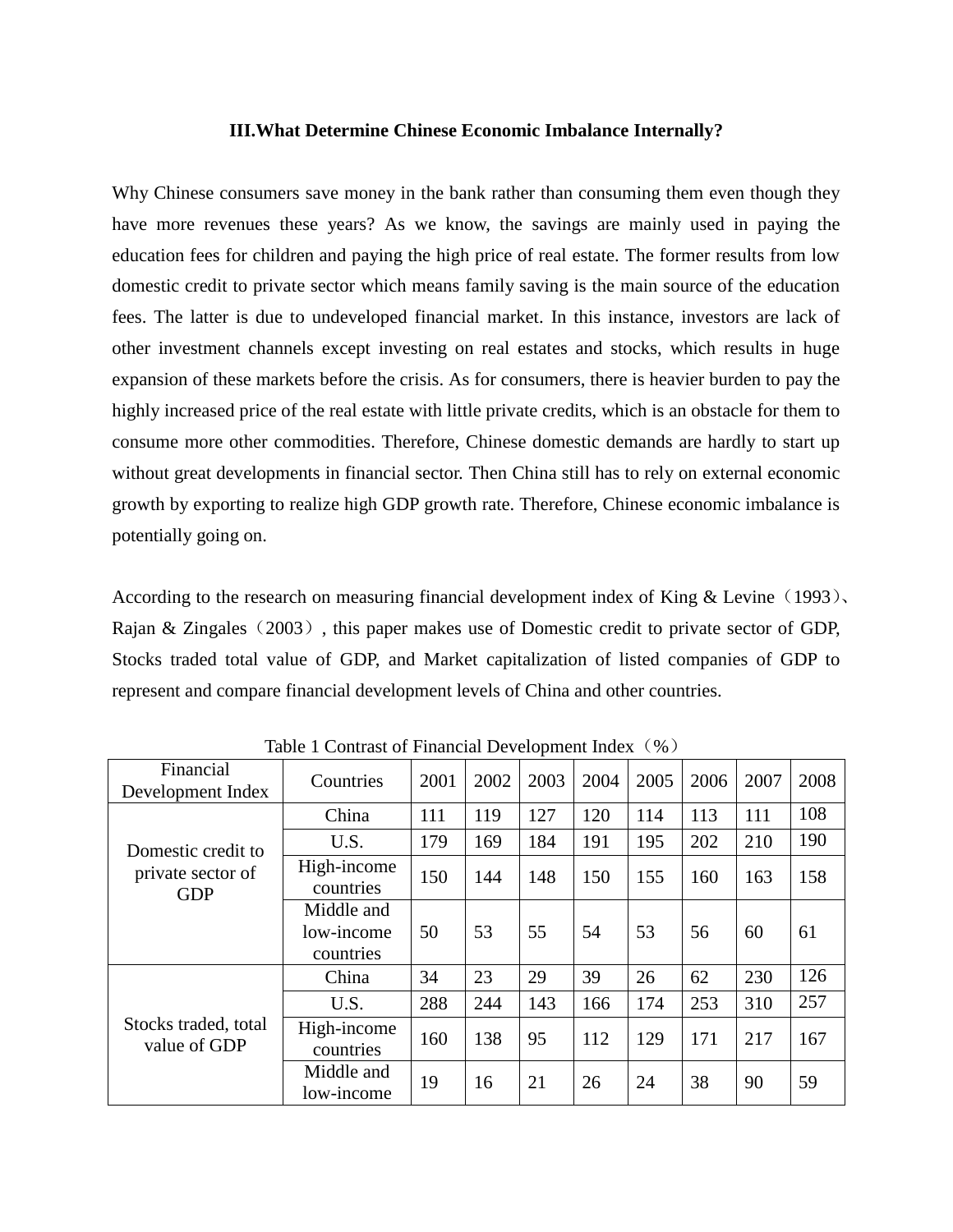#### **III.What Determine Chinese Economic Imbalance Internally?**

Why Chinese consumers save money in the bank rather than consuming them even though they have more revenues these years? As we know, the savings are mainly used in paying the education fees for children and paying the high price of real estate. The former results from low domestic credit to private sector which means family saving is the main source of the education fees. The latter is due to undeveloped financial market. In this instance, investors are lack of other investment channels except investing on real estates and stocks, which results in huge expansion of these markets before the crisis. As for consumers, there is heavier burden to pay the highly increased price of the real estate with little private credits, which is an obstacle for them to consume more other commodities. Therefore, Chinese domestic demands are hardly to start up without great developments in financial sector. Then China still has to rely on external economic growth by exporting to realize high GDP growth rate. Therefore, Chinese economic imbalance is potentially going on.

According to the research on measuring financial development index of King  $&$  Levine (1993). Rajan & Zingales (2003), this paper makes use of Domestic credit to private sector of GDP, Stocks traded total value of GDP, and Market capitalization of listed companies of GDP to represent and compare financial development levels of China and other countries.

| Financial<br>Development Index                        | Countries                             | 2001 | 2002 | $\mathbf{r}$<br>2003 | 2004 | 2005 | 2006 | 2007 | 2008 |
|-------------------------------------------------------|---------------------------------------|------|------|----------------------|------|------|------|------|------|
| Domestic credit to<br>private sector of<br><b>GDP</b> | China                                 | 111  | 119  | 127                  | 120  | 114  | 113  | 111  | 108  |
|                                                       | U.S.                                  | 179  | 169  | 184                  | 191  | 195  | 202  | 210  | 190  |
|                                                       | High-income<br>countries              | 150  | 144  | 148                  | 150  | 155  | 160  | 163  | 158  |
|                                                       | Middle and<br>low-income<br>countries | 50   | 53   | 55                   | 54   | 53   | 56   | 60   | 61   |
| Stocks traded, total<br>value of GDP                  | China                                 | 34   | 23   | 29                   | 39   | 26   | 62   | 230  | 126  |
|                                                       | U.S.                                  | 288  | 244  | 143                  | 166  | 174  | 253  | 310  | 257  |
|                                                       | High-income<br>countries              | 160  | 138  | 95                   | 112  | 129  | 171  | 217  | 167  |
|                                                       | Middle and<br>low-income              | 19   | 16   | 21                   | 26   | 24   | 38   | 90   | 59   |

Table 1 Contrast of Financial Development Index (%)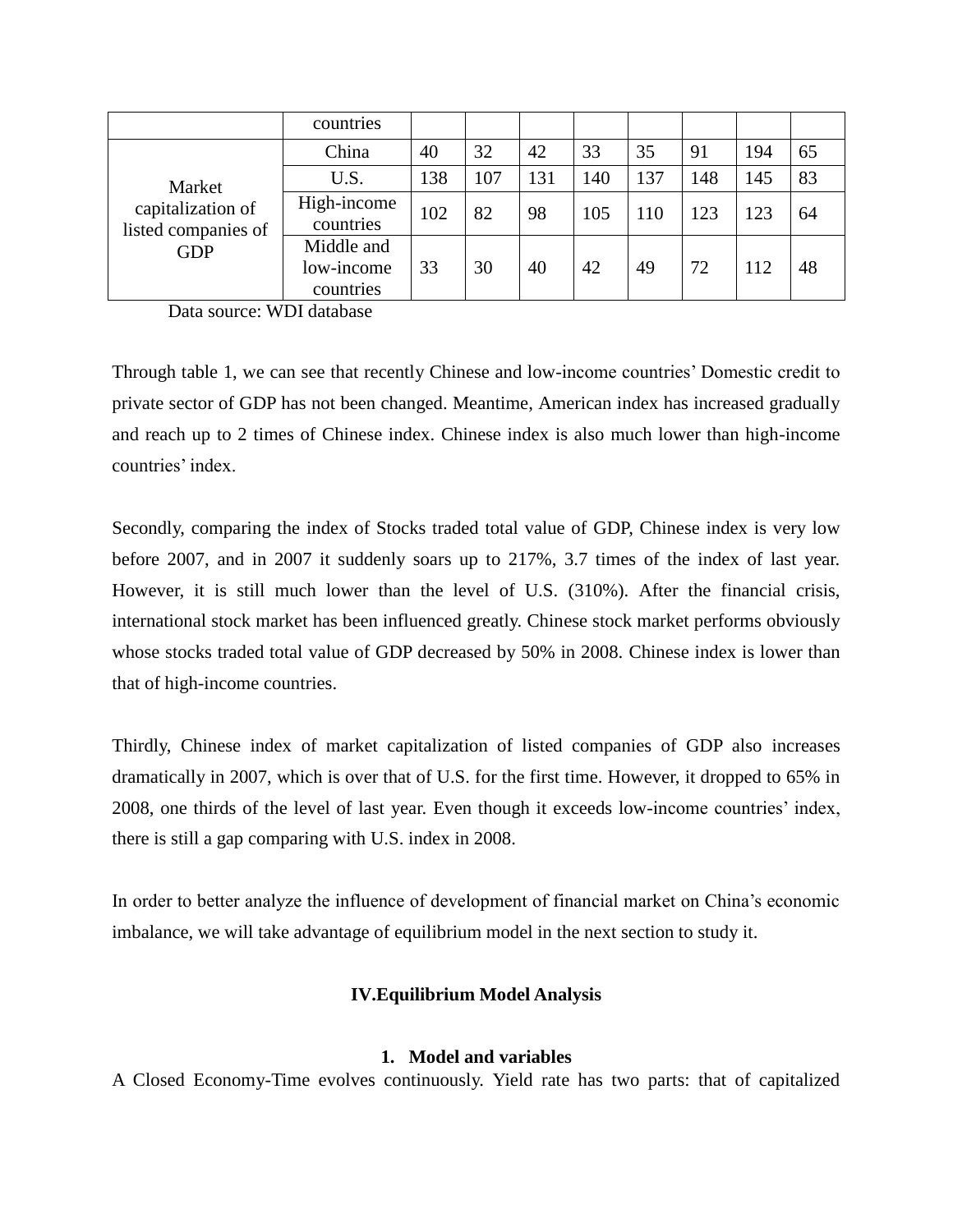|                                                                  | countries                             |     |     |     |     |     |     |     |    |
|------------------------------------------------------------------|---------------------------------------|-----|-----|-----|-----|-----|-----|-----|----|
| Market<br>capitalization of<br>listed companies of<br><b>GDP</b> | China                                 | 40  | 32  | 42  | 33  | 35  | 91  | 194 | 65 |
|                                                                  | U.S.                                  | 138 | 107 | 131 | 140 | 137 | 148 | 145 | 83 |
|                                                                  | High-income<br>countries              | 102 | 82  | 98  | 105 | 110 | 123 | 123 | 64 |
|                                                                  | Middle and<br>low-income<br>countries | 33  | 30  | 40  | 42  | 49  | 72  | 112 | 48 |

Data source: WDI database

Through table 1, we can see that recently Chinese and low-income countries" Domestic credit to private sector of GDP has not been changed. Meantime, American index has increased gradually and reach up to 2 times of Chinese index. Chinese index is also much lower than high-income countries' index.

Secondly, comparing the index of Stocks traded total value of GDP, Chinese index is very low before 2007, and in 2007 it suddenly soars up to 217%, 3.7 times of the index of last year. However, it is still much lower than the level of U.S. (310%). After the financial crisis, international stock market has been influenced greatly. Chinese stock market performs obviously whose stocks traded total value of GDP decreased by 50% in 2008. Chinese index is lower than that of high-income countries.

Thirdly, Chinese index of market capitalization of listed companies of GDP also increases dramatically in 2007, which is over that of U.S. for the first time. However, it dropped to 65% in 2008, one thirds of the level of last year. Even though it exceeds low-income countries" index, there is still a gap comparing with U.S. index in 2008.

In order to better analyze the influence of development of financial market on China"s economic imbalance, we will take advantage of equilibrium model in the next section to study it.

# **IV.Equilibrium Model Analysis**

# **1. Model and variables**

A Closed Economy-Time evolves continuously. Yield rate has two parts: that of capitalized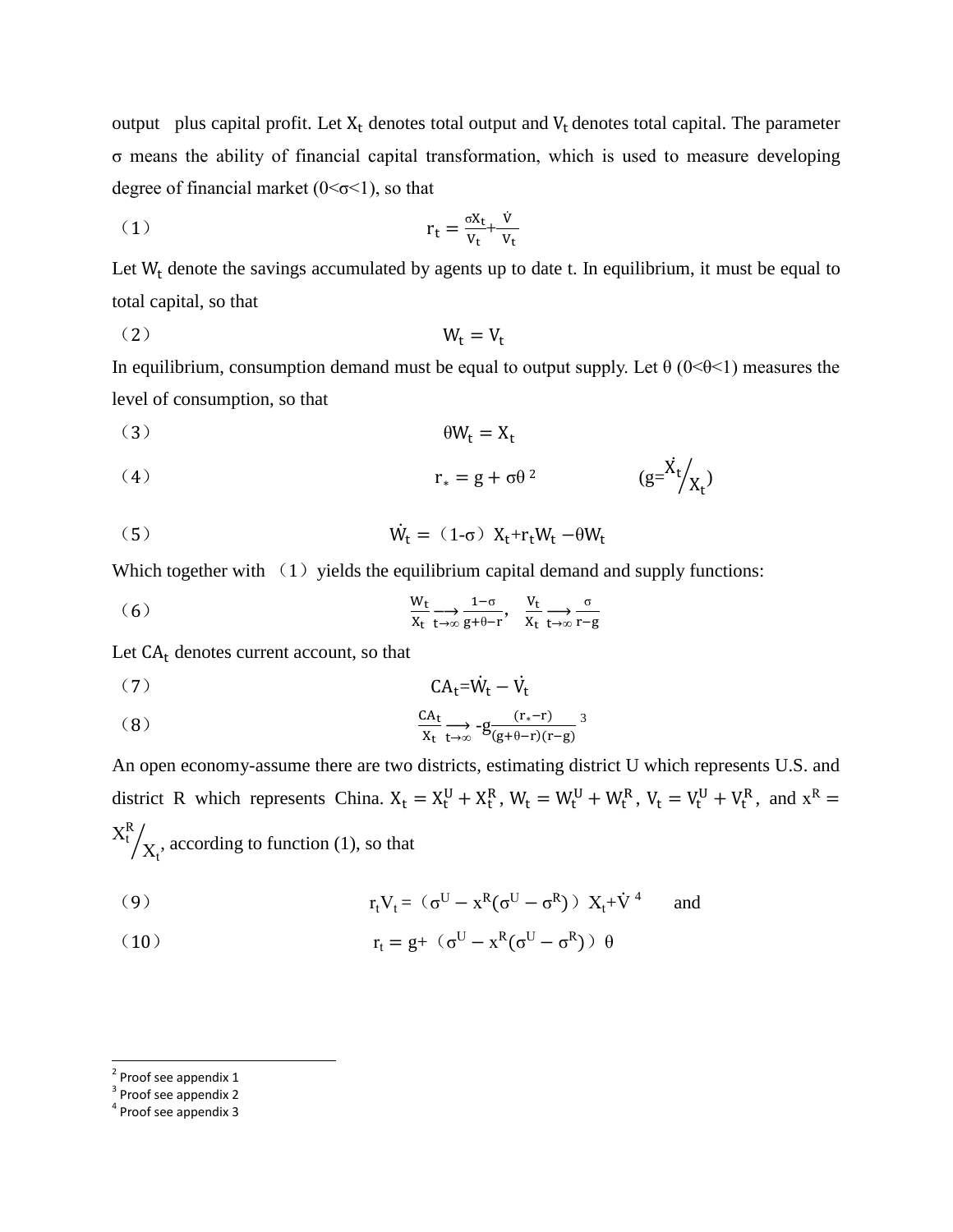output plus capital profit. Let  $X_t$  denotes total output and  $V_t$  denotes total capital. The parameter σ means the ability of financial capital transformation, which is used to measure developing degree of financial market  $(0<\sigma<1)$ , so that

$$
r_t = \frac{\sigma x_t}{v_t} + \frac{\dot{v}}{v_t}
$$

Let  $W_t$  denote the savings accumulated by agents up to date t. In equilibrium, it must be equal to total capital, so that

$$
(2) \t\t W_t = V_t
$$

In equilibrium, consumption demand must be equal to output supply. Let  $\theta$  (0< $\theta$ <1) measures the level of consumption, so that

$$
(3) \t\t\t \theta W_t = X_t
$$

(4) 
$$
r_* = g + \sigma \theta^2 \qquad (g = \frac{\dot{X}_t}{X_t})
$$

$$
\dot{W}_t = (1 - \sigma) X_t + r_t W_t - \theta W_t
$$

Which together with  $(1)$  yields the equilibrium capital demand and supply functions:

(6) 
$$
\frac{W_t}{X_t} \underset{t \to \infty}{\longrightarrow} \frac{1-\sigma}{g+\theta-r}, \quad \frac{V_t}{X_t} \underset{t \to \infty}{\longrightarrow} \frac{\sigma}{r-g}
$$

Let  $CA_t$  denotes current account, so that

$$
(7) \tCA_t = \dot{W}_t - \dot{V}_t
$$

$$
\frac{CA_t}{X_t} \xrightarrow[t \to \infty]{} -g \frac{(r_* - r)}{(g + \theta - r)(r - g)} \xrightarrow{3}
$$

An open economy-assume there are two districts, estimating district U which represents U.S. and district R which represents China.  $X_t = X_t^U + X_t^R$ ,  $W_t = W_t^U + W_t^R$ ,  $V_t = V_t^U + V_t^R$ , and  $X^R$  $X_t^R$  $\big/ \chi_{\mathfrak{t}}$ , according to function (1), so that

(9) 
$$
r_t V_t = (\sigma^U - x^R (\sigma^U - \sigma^R)) X_t + \dot{V}^4 \quad \text{and}
$$

(10) 
$$
r_t = g + (\sigma^U - x^R(\sigma^U - \sigma^R)) \theta
$$

<sup>&</sup>lt;sup>2</sup> Proof see appendix 1

<sup>&</sup>lt;sup>3</sup> Proof see appendix 2

<sup>&</sup>lt;sup>4</sup> Proof see appendix 3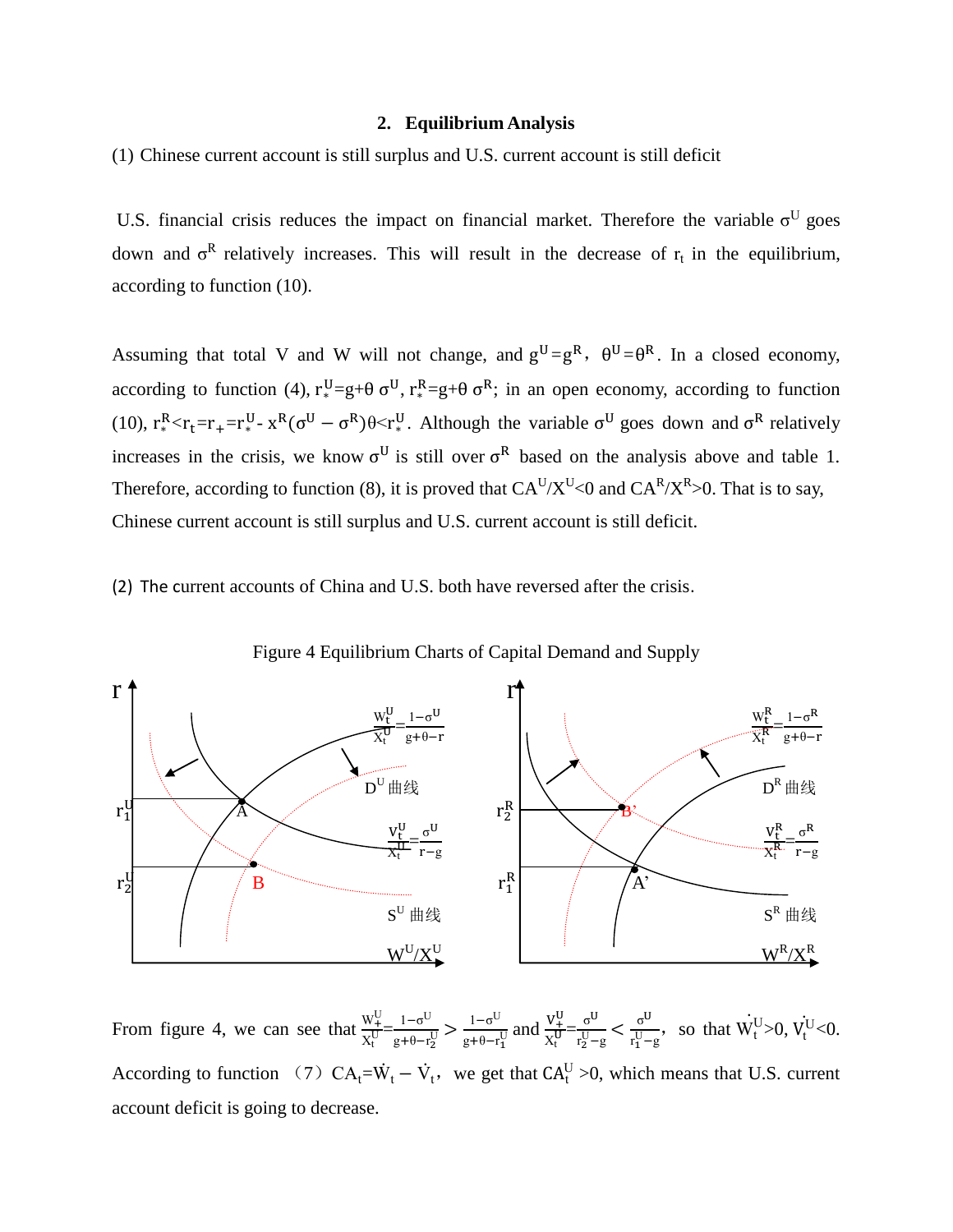#### **2. Equilibrium Analysis**

(1) Chinese current account is still surplus and U.S. current account is still deficit

U.S. financial crisis reduces the impact on financial market. Therefore the variable  $\sigma^{U}$  goes down and  $\sigma^R$  relatively increases. This will result in the decrease of  $r_t$  in the equilibrium, according to function (10).

Assuming that total V and W will not change, and  $g^U = g^R$ ,  $\theta^U = \theta^R$ . In a closed economy, according to function (4),  $r_*^U = g + \theta \sigma^U$ ,  $r_*^R = g + \theta \sigma^R$ ; in an open economy, according to function (10),  $r_*^R < r_t = r_* = r_*^W - x^R (\sigma^U - \sigma^R) \theta < r_*^W$ . Although the variable  $\sigma^U$  goes down and  $\sigma^R$  relatively increases in the crisis, we know  $\sigma^U$  is still over  $\sigma^R$  based on the analysis above and table 1. Therefore, according to function (8), it is proved that  $CA^U/X^U<0$  and  $CA^R/X^R>0$ . That is to say, Chinese current account is still surplus and U.S. current account is still deficit.

(2) The current accounts of China and U.S. both have reversed after the crisis.



Figure 4 Equilibrium Charts of Capital Demand and Supply

From figure 4, we can see that  $\frac{W_{+}^{U}}{W_{+}^{U}}$  $\frac{W_{+}^{U}}{X_{t}^{U}} = \frac{1-\sigma^{U}}{g+\theta-r}$  $\frac{1-\sigma^{\mathrm{U}}}{g+\theta-r_2^{\mathrm{U}}} > \frac{1-\sigma^{\mathrm{U}}}{g+\theta-r_2^{\mathrm{U}}}$  $\frac{1-\sigma^{\text{U}}}{g+\theta-r_1^{\text{U}}}$  and  $\frac{V_+^{\text{U}}}{X_t^{\text{U}}}$  $\frac{V_{+}^{U}}{X_{t}^{U}} = \frac{\sigma^{U}}{r_{2}^{U} -}$  $rac{\sigma^U}{r_2^U-g} < \frac{\sigma^U}{r_1^U-g}$  $\frac{\sigma^{U}}{\sigma^{V}-g}$ , so that  $\dot{W}_{t}^{U} > 0$ ,  $\dot{V}_{t}^{U} < 0$ . According to function (7)  $CA_t = \dot{W}_t - \dot{V}_t$ , we get that  $CA_t^U > 0$ , which means that U.S. current account deficit is going to decrease.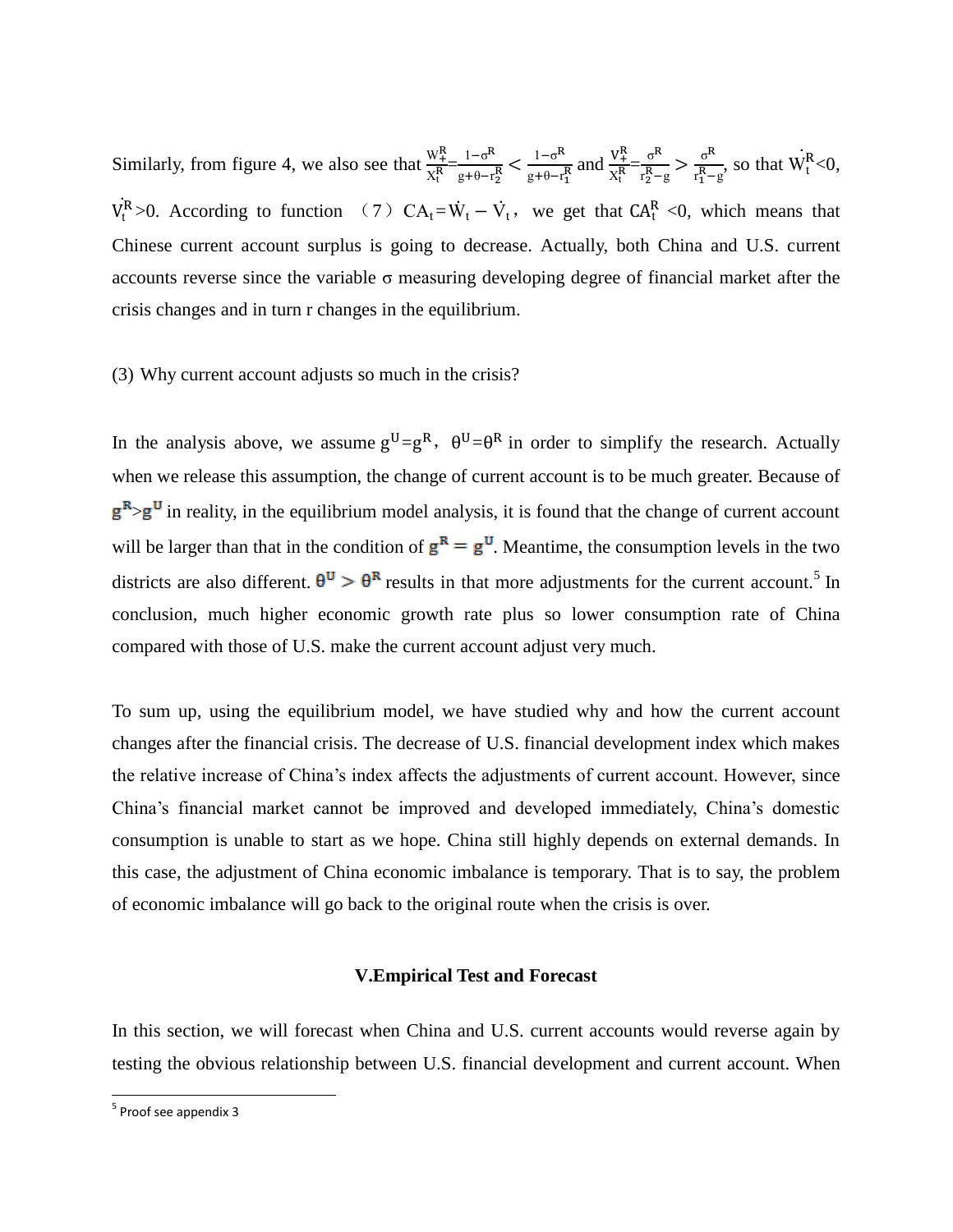Similarly, from figure 4, we also see that  $\frac{W_t^R}{W_t^R}$  $\frac{W_{+}^{R}}{X_{t}^{R}} = \frac{1-\sigma^{R}}{g+\theta-r}$  $g + \theta - r_2^R$  $1-\sigma^R$  $\frac{1-\sigma^R}{g+\theta-r_1^R}$  and  $\frac{V_+^R}{X_t^R}$  $\frac{V_+^R}{X_t^R} = \frac{\sigma^R}{r_2^R}$  $rac{\sigma^R}{r_2^R - g} > \frac{\sigma^R}{r_1^R - g}$  $rac{6}{r_1^R-g}$ , so that  $W_t^R<0$ ,  $\overline{a}$  $\dot{V}_t^R > 0$ . According to function (7)  $CA_t = \dot{W}_t - \dot{V}_t$ , we get that  $CA_t^R < 0$ , which means that Chinese current account surplus is going to decrease. Actually, both China and U.S. current accounts reverse since the variable σ measuring developing degree of financial market after the crisis changes and in turn r changes in the equilibrium.

### (3) Why current account adjusts so much in the crisis?

In the analysis above, we assume  $g^U = g^R$ ,  $\theta^U = \theta^R$  in order to simplify the research. Actually when we release this assumption, the change of current account is to be much greater. Because of  $g<sup>R</sup> > g<sup>U</sup>$  in reality, in the equilibrium model analysis, it is found that the change of current account will be larger than that in the condition of  $g^R = g^U$ . Meantime, the consumption levels in the two districts are also different.  $\theta^U > \theta^R$  results in that more adjustments for the current account.<sup>5</sup> In conclusion, much higher economic growth rate plus so lower consumption rate of China compared with those of U.S. make the current account adjust very much.

To sum up, using the equilibrium model, we have studied why and how the current account changes after the financial crisis. The decrease of U.S. financial development index which makes the relative increase of China"s index affects the adjustments of current account. However, since China"s financial market cannot be improved and developed immediately, China"s domestic consumption is unable to start as we hope. China still highly depends on external demands. In this case, the adjustment of China economic imbalance is temporary. That is to say, the problem of economic imbalance will go back to the original route when the crisis is over.

### **V.Empirical Test and Forecast**

In this section, we will forecast when China and U.S. current accounts would reverse again by testing the obvious relationship between U.S. financial development and current account. When

 $\overline{a}$ 

<sup>&</sup>lt;sup>5</sup> Proof see appendix 3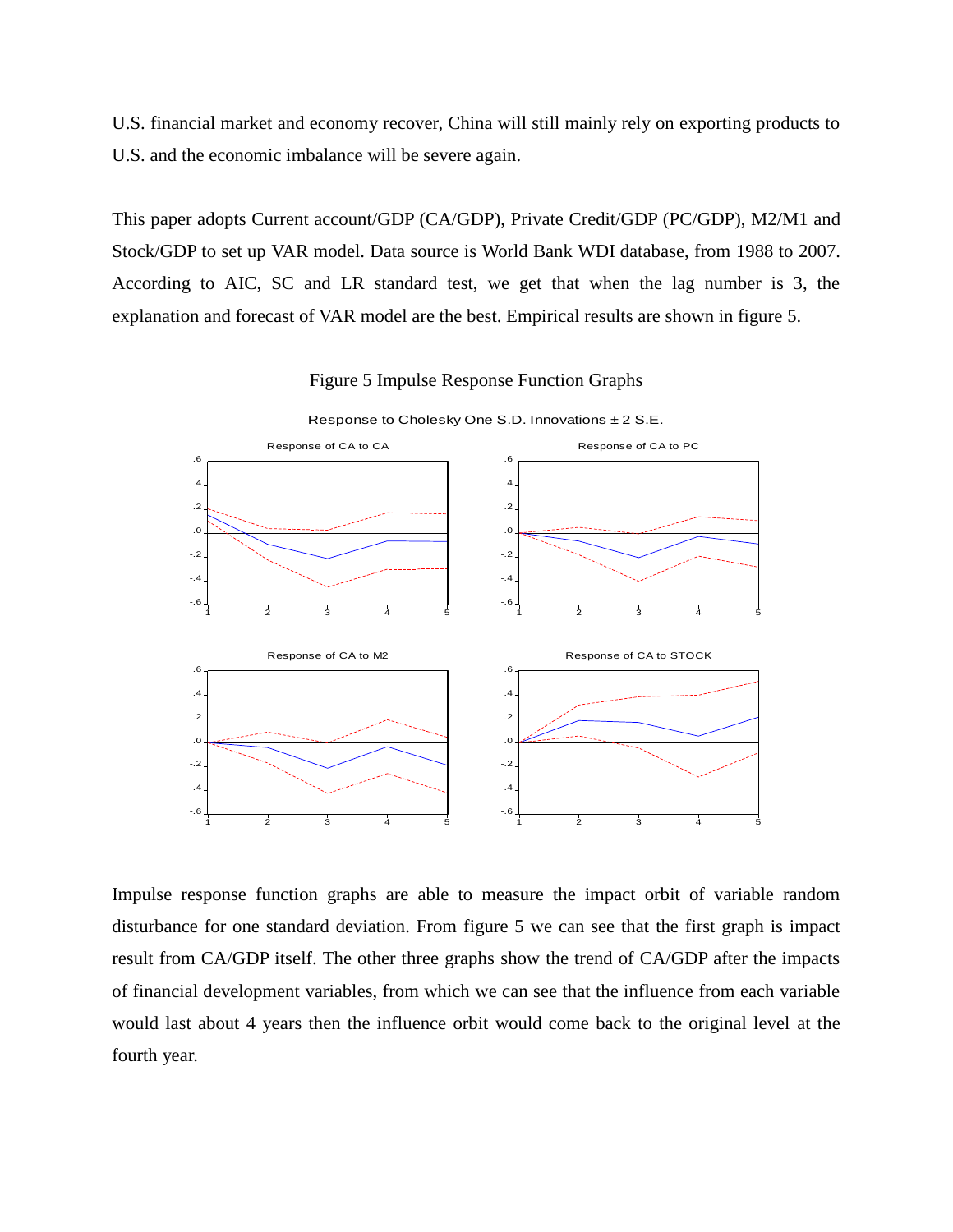U.S. financial market and economy recover, China will still mainly rely on exporting products to U.S. and the economic imbalance will be severe again.

This paper adopts Current account/GDP (CA/GDP), Private Credit/GDP (PC/GDP), M2/M1 and Stock/GDP to set up VAR model. Data source is World Bank WDI database, from 1988 to 2007. According to AIC, SC and LR standard test, we get that when the lag number is 3, the explanation and forecast of VAR model are the best. Empirical results are shown in figure 5.



Figure 5 Impulse Response Function Graphs

Impulse response function graphs are able to measure the impact orbit of variable random disturbance for one standard deviation. From figure 5 we can see that the first graph is impact result from CA/GDP itself. The other three graphs show the trend of CA/GDP after the impacts of financial development variables, from which we can see that the influence from each variable would last about 4 years then the influence orbit would come back to the original level at the fourth year.

Response to Cholesky One S.D. Innovations ±2 S.E.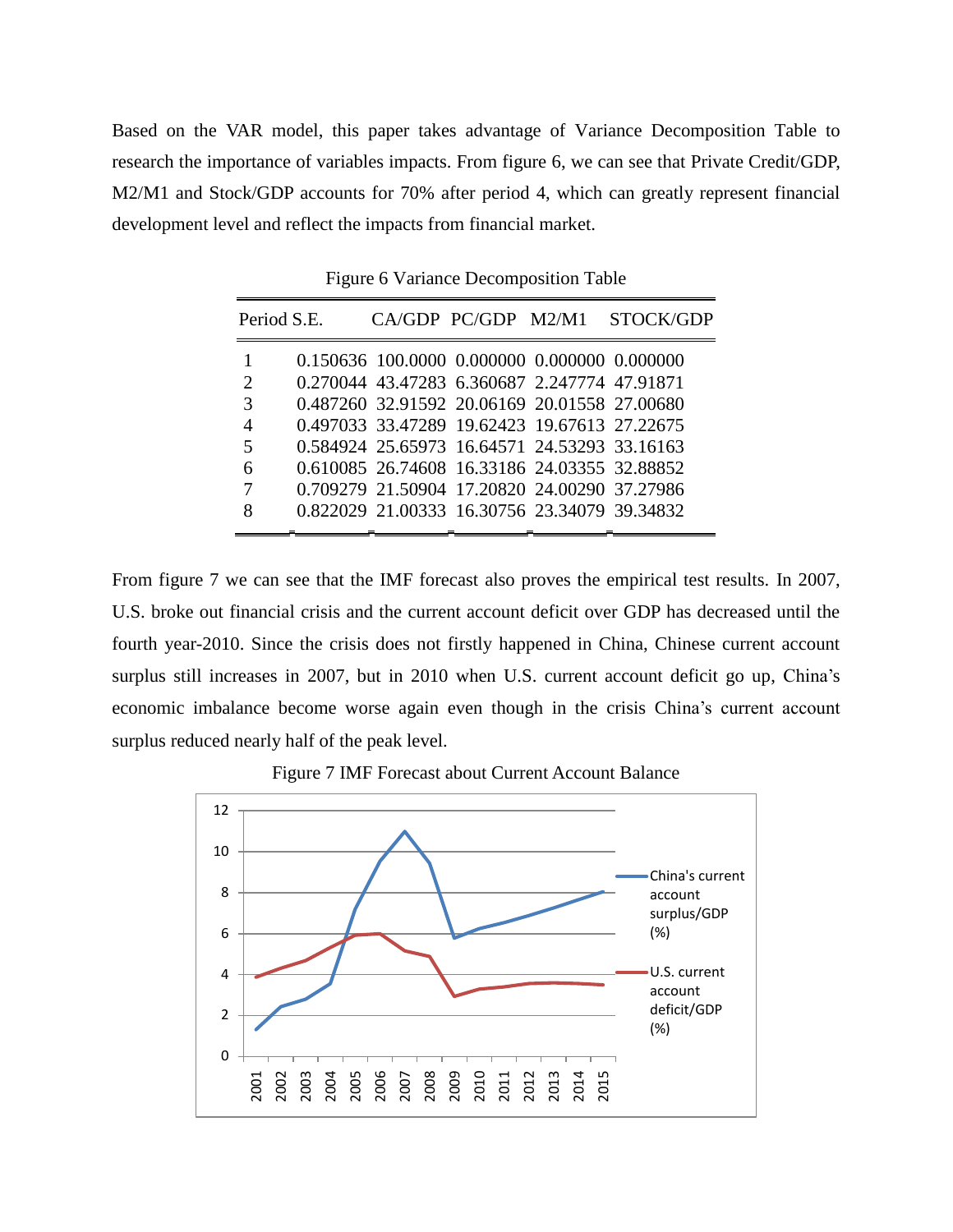Based on the VAR model, this paper takes advantage of Variance Decomposition Table to research the importance of variables impacts. From figure 6, we can see that Private Credit/GDP, M2/M1 and Stock/GDP accounts for 70% after period 4, which can greatly represent financial development level and reflect the impacts from financial market.

|   | Period S.E. |                                              |  | CA/GDP PC/GDP M2/M1 STOCK/GDP                |
|---|-------------|----------------------------------------------|--|----------------------------------------------|
|   |             |                                              |  | 0.150636 100.0000 0.000000 0.000000 0.000000 |
| 2 |             | 0.270044 43.47283 6.360687 2.247774 47.91871 |  |                                              |
| 3 |             |                                              |  | 0.487260 32.91592 20.06169 20.01558 27.00680 |
| 4 |             |                                              |  | 0.497033 33.47289 19.62423 19.67613 27.22675 |
| 5 |             |                                              |  | 0.584924 25.65973 16.64571 24.53293 33.16163 |
| 6 |             |                                              |  | 0.610085 26.74608 16.33186 24.03355 32.88852 |
| 7 |             |                                              |  | 0.709279 21.50904 17.20820 24.00290 37.27986 |
| 8 |             |                                              |  | 0.822029 21.00333 16.30756 23.34079 39.34832 |
|   |             |                                              |  |                                              |

Figure 6 Variance Decomposition Table

From figure 7 we can see that the IMF forecast also proves the empirical test results. In 2007, U.S. broke out financial crisis and the current account deficit over GDP has decreased until the fourth year-2010. Since the crisis does not firstly happened in China, Chinese current account surplus still increases in 2007, but in 2010 when U.S. current account deficit go up, China's economic imbalance become worse again even though in the crisis China"s current account surplus reduced nearly half of the peak level.



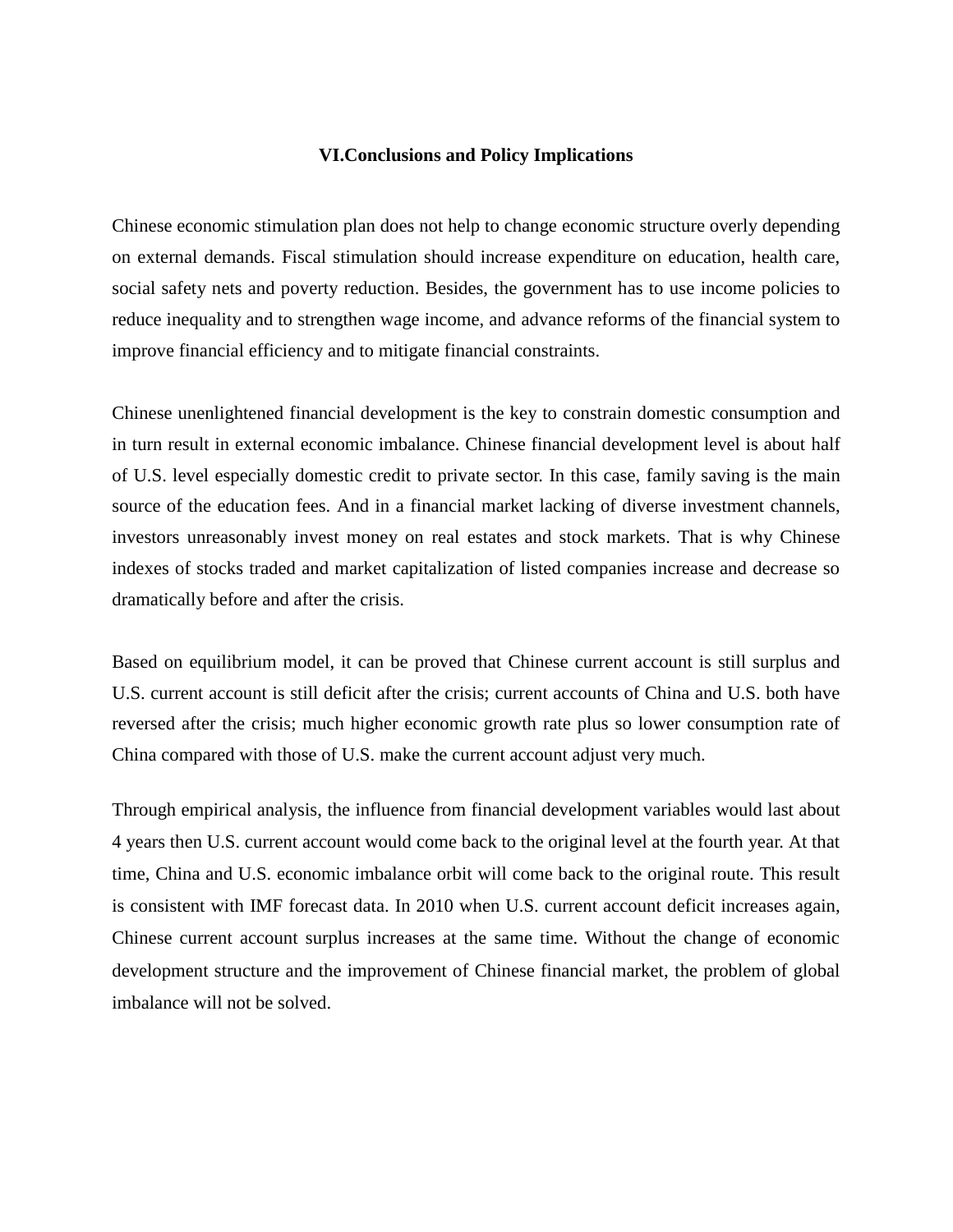### **VI.Conclusions and Policy Implications**

Chinese economic stimulation plan does not help to change economic structure overly depending on external demands. Fiscal stimulation should increase expenditure on education, health care, social safety nets and poverty reduction. Besides, the government has to use income policies to reduce inequality and to strengthen wage income, and advance reforms of the financial system to improve financial efficiency and to mitigate financial constraints.

Chinese unenlightened financial development is the key to constrain domestic consumption and in turn result in external economic imbalance. Chinese financial development level is about half of U.S. level especially domestic credit to private sector. In this case, family saving is the main source of the education fees. And in a financial market lacking of diverse investment channels, investors unreasonably invest money on real estates and stock markets. That is why Chinese indexes of stocks traded and market capitalization of listed companies increase and decrease so dramatically before and after the crisis.

Based on equilibrium model, it can be proved that Chinese current account is still surplus and U.S. current account is still deficit after the crisis; current accounts of China and U.S. both have reversed after the crisis; much higher economic growth rate plus so lower consumption rate of China compared with those of U.S. make the current account adjust very much.

Through empirical analysis, the influence from financial development variables would last about 4 years then U.S. current account would come back to the original level at the fourth year. At that time, China and U.S. economic imbalance orbit will come back to the original route. This result is consistent with IMF forecast data. In 2010 when U.S. current account deficit increases again, Chinese current account surplus increases at the same time. Without the change of economic development structure and the improvement of Chinese financial market, the problem of global imbalance will not be solved.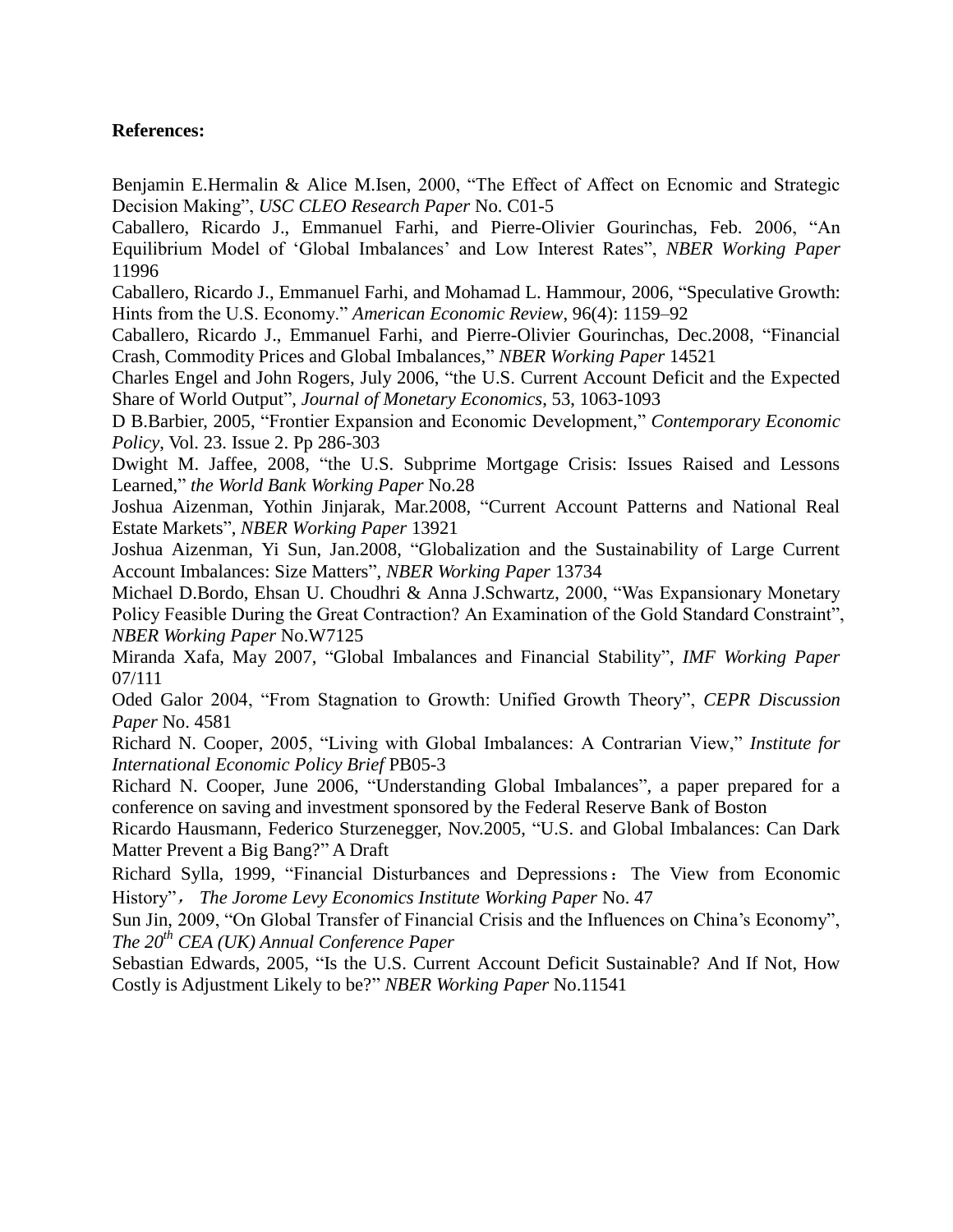## **References:**

Benjamin E.Hermalin & Alice M.Isen, 2000, "The Effect of Affect on Ecnomic and Strategic Decision Making", *USC CLEO Research Paper* No. C01-5

Caballero, Ricardo J., Emmanuel Farhi, and Pierre-Olivier Gourinchas, Feb. 2006, "An Equilibrium Model of "Global Imbalances" and Low Interest ates", *NBER Working Paper* 11996

Caballero, Ricardo J., Emmanuel Farhi, and Mohamad L. Hammour, 2006, "Speculative Growth: Hints from the U.S. Economy." *American Economic Review*, 96(4): 1159–92

Caballero, Ricardo J., Emmanuel Farhi, and Pierre-Olivier Gourinchas, Dec.2008, "Financial Crash, Commodity Prices and Global Imbalances," *NBER Working Paper* 14521

Charles Engel and John Rogers, July 2006, "the U.S. Current Account Deficit and the Expected Share of World Output", *Journal of Monetary Economics*, 53, 1063-1093

D B.Barbier, 2005, "Frontier Expansion and Economic Development," *Contemporary Economic Policy*, Vol. 23. Issue 2. Pp 286-303

Dwight M. Jaffee, 2008, "the U.S. Subprime Mortgage Crisis: Issues Raised and Lessons Learned," *the World Bank Working Paper* No.28

Joshua Aizenman, Yothin Jinjarak, Mar.2008, "Current Account Patterns and National Real Estate Markets", *NBER Working Paper* 13921

Joshua Aizenman, Yi Sun, Jan.2008, "Globalization and the Sustainability of Large Current Account Imbalances: Size Matters", *NBER Working Paper* 13734

Michael D.Bordo, Ehsan U. Choudhri & Anna J.Schwartz, 2000, "Was Expansionary Monetary Policy Feasible During the Great Contraction? An Examination of the Gold Standard Constraint", *NBER Working Paper* No.W7125

Miranda Xafa, May 2007, "Global Imbalances and Financial Stability", *IMF Working Paper* 07/111

Oded Galor 2004, "From Stagnation to Growth: Unified Growth Theory", *CEPR Discussion Paper* No. 4581

Richard N. Cooper, 2005, "Living with Global Imbalances: A Contrarian View," *Institute for International Economic Policy Brief* PB05-3

Richard N. Cooper, June 2006, "Understanding Global Imbalances", a paper prepared for a conference on saving and investment sponsored by the Federal Reserve Bank of Boston

Ricardo Hausmann, Federico Sturzenegger, Nov.2005, "U.S. and Global Imbalances: Can Dark Matter Prevent a Big Bang?" A Draft

Richard Sylla, 1999, "Financial Disturbances and Depressions:The View from Economic History", *The Jorome Levy Economics Institute Working Paper* No. 47

Sun Jin, 2009, "On Global Transfer of Financial Crisis and the Influences on China"s Economy", *The 20th CEA (UK) Annual Conference Paper*

Sebastian Edwards, 2005, "Is the U.S. Current Account Deficit Sustainable? And If Not, How Costly is Adjustment Likely to be?" *NBER Working Paper* No.11541